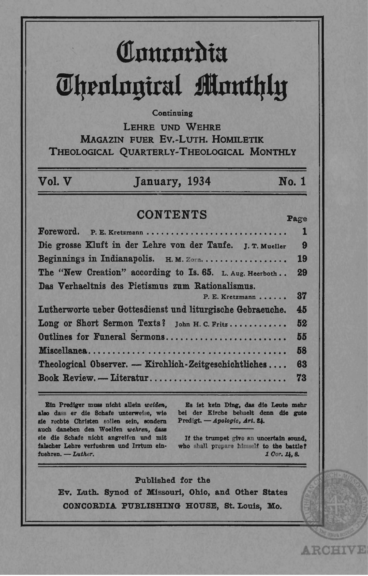# Concordia **Theological Monthly**

#### Continuing

LEHRE UND WEHRE MAGAZIN FUER EV.-LUTH. HOMILETIK THEOLOGICAL QUARTERLY-THEOLOGICAL MONTHLY

#### Vol. V January, 1934 No. 1

## **CONTENTS**

| Foreword. P. E. Kretzmann                                  | $\mathbf{1}$ |
|------------------------------------------------------------|--------------|
| Die grosse Kluft in der Lehre von der Taufe. J. T. Mueller | 9            |
| Beginnings in Indianapolis. H.M. ZOTR                      | <b>19</b>    |
| The "New Creation" according to Is. 65. L. Aug. Heerboth   | 29           |
| Das Verhaeltnis des Pietismus zum Rationalismus.           |              |
| P. E. Kretzmann                                            | 37           |
| Lutherworte ueber Gottesdienst und liturgische Gebraeuche. | 45           |
| Long or Short Sermon Texts? John H. C. Fritz               | 52           |
| Outlines for Funeral Sermons                               | 55           |
|                                                            | 58           |
| Theological Observer. — Kirchlich-Zeitgeschichtliches      | 63           |
| Book Review. - Literatur                                   | 73           |

Ein Prediger muss nicht allein weiden, also dass er die Schafe unterweise, wie sie rechte Christen sollen sein, sondern auch daneben den Woelfen wehren, dass sie die Schafe nicht angreifen und mit falscher Lehre verfuehren und Irrtum einfuehren. - Luther.

Es ist kein Ding, das die Leute mehr bei der Kirche behaelt denn die gute Predigt. - Apologie, Art. 24.

Page

**ARCHIVE** 

If the trumpet give an uncertain sound. who shall prepare himself to the battle? 1 Cor. 14.8.

#### Published for the

Ev. Luth. Synod of Missouri, Ohio, and Other States CONCORDIA PUBLISHING HOUSE, St. Louis, Mo.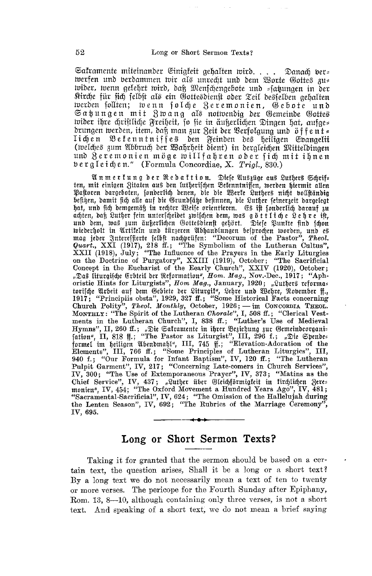Saframente miteinander Einigfeit gehalten wird.... Danach bers werfen und berdammen wir als unrecht und dem Worte Gottes zus wider, wenn gelehrt wird, daß Menschengebote und = satungen in der Kirche für fich felbft als ein Gottesdienft oder Teil desfelben gehalten werden follten; wenn folche Zeremonien, Gebote und Satungen mit Zwang als notwendig der Gemeinde Gottes wider ihre chriftliche Freiheit, so sie in äußerlichen Dingen hat, aufges drungen werden, item, daß man zur Zeit der Verfolgung und öffent= lichen Bekenntniffes den Feinden des heiligen Evangelii (welches zum Abbruch der Wahrheit dient) in deraleichen Mitteldingen und Zeremonien möge willfahren oder fich mit ihnen bergleichen." (Formula Concordiae, X. Trigl. 830.)

An mertung der Redattion. Diese Auszüge aus Luthers Schrif-<br>ten, mit einigen Zitaten aus den lutherischen Betenntnissen, werden hiermit allen Pastoren dargeboten, sonderlich denen, die die Werfe Luthers nicht vollständig besigen, damit fich alle auf die Grundsäge befinnen, die Luther seinerzeit dargelegt hat, und fich demgemäß in rechter Weife orientieren. Es ift fonderlich darauf zu achten, daß Luther fein unterscheidet zwischen dem, was göttliche Lehre ist, und dem, was zum äußerlichen Gottesdienft gehört. Diese Puntte find fchon und ein, was am und türzeren Abhandlungen besprochen worden, und es<br>maa ieder Interessierte selbst nachvrüfen: "Decorum of the Pastor", *Theol.* inicherholt in Artifeln und turgeren ausgandlungen septromen worden, und es<br>mag jeber 3ntereffierte felbft nachprüfen: "Decorum of the Pastor", Theol.<br>Quart., XXI (1917), 218 ff.; "The Symbolism of the Lutheran Cultus",<br>XX "Das liturgische Erbteil der Reformation", Hom. Mag., Nov.-Dec., 1917; "Aphoristic Hints for Liturgists", Hom Mag., January, 1920; "Luthers reformatorische Arbeit auf dem Gebiete der Liturgit", Lehre und Wehre, November ff., 1917; "Principiis obsta", 1929, 327 ff.; "Some Historical Facts concerning Church Polity", Theol. Monthly, October, 1926; - im CONCORDIA THEOL. MONTHLY: "The Spirit of the Lutheran Chorale", I, 508 ff.; "Clerical Vest-<br>ments in the Lutheran Church", I, 838 ff.; "Luther's Use of Medieval Hymns", II, 260 ff.; "Die Saftamente in ihrer Beziehung zur Gemeindeorganis<br>fation", II, 818 ff.; "The Pastor as Liturgist", III, 296 f.; "Die Spenbes<br>formel im heitligen außenbmahl", III, 745 ff.; "Elevation-Adon of the<br>l Elements", III, 766 ff.; "Some Principles of Lutheran Liturgies", III, 2001. "Our Formula for Infant Baptism", IV, 120 ff.; "The Lutheran Pulpit Garment", IV, 217; "Concerning Late-comers in Church Services", IV, 300; "The Use of Extemporaneous Prayer", IV, 373; "Matins as the Chief Service", IV, 437; "Luther über Gleichförmigkeit in firchlichen Zere= monien", IV, 454; "The Oxford Movement a Hundred Years Ago", IV, 481; "Sacramental-Sacrificial", IV, 624; "The Omission of the Hallelujah during the Lenten Season", IV, 692; "The Rubrics of the Marriage Ceremony", IV, 695.

## Long or Short Sermon Texts?

Taking it for granted that the sermon should be based on a certain text, the question arises, Shall it be a long or a short text? By a long text we do not necessarily mean a text of ten to twenty or more verses. The pericope for the Fourth Sunday after Epiphany, Rom. 13, 8-10, although containing only three verses, is not a short text. And speaking of a short text, we do not mean a brief saying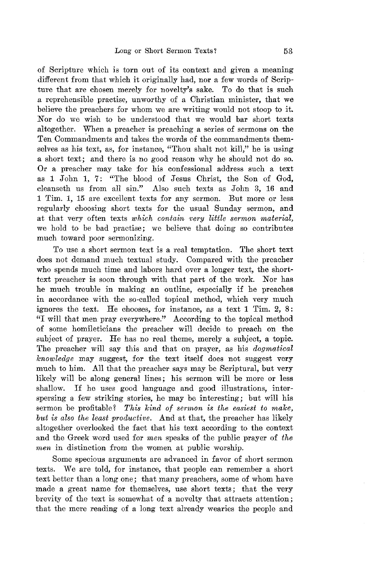of Scripture which is torn out of its context and given a meaning different from that which it originally had, nor a few words of Scripture that are chosen merely for novelty's sake. To do that is such a reprehensible practise, unworthy of a Ohristian minister, that we believe the preachers for whom we are writing would not stoop to it. Nor do we wish to be understood that we would bar short texts altogether. When a preacher is preaching a series of sermons on the Ten Commandments and takes the words of the commandments themselves as his text, as, for instance, "Thou shalt not kill," he is using a short text; and there is no good reason why he should not do so. Or a preacher may take for his confessional address such a text as 1 John 1, 7: "The blood of Jesus Ohrist, the Son of God, cleanseth us from all sin." Also such texts as John 3, 16 and 1 Tim. 1, 15 are excellent texts for any sermon. But more or less regularly choosing short texts for the usual Sunday sermon, and at that very often texts *which contain very little sermon material*, we hold to be bad practise; we believe that doing so contributes much toward poor sermonizing.

To use a short sermon text is a real temptation. The short text does not demand much textual study. Compared with the preacher who spends much time and labors hard over a longer text, the shorttext preacher is soon through with that part of the work. Nor has he much trouble in making an outline, especially if he preaches in accordance with the so-called topical method, which very much ignores the text. He chooses, for instance, as a text 1 Tim. 2, 8: "I will that men pray everywhere." According to the topical method of some homileticians the preacher will decide to preach on the subject of prayer. He has no real theme, merely a subject, a topic. The preacher will say this and that on prayer, as his *dogmatical knowledge* may suggest, for the text itself does not suggest very much to him. All that the preacher says may be Scriptural, but very likely will be along general lines; his sermon will be more or less shallow. If he uses good language and good illustrations, interspersing a few striking stories, he may be interesting; but will his sermon be profitable? This kind of sermon is the easiest to make, *but is also the least productive.* And at that, the preacher has likely altogether overlooked the fact that his text according to the context and the Greek word used for *men* speaks of the public prayer of *the men* in distinction from the women at public worship.

Some specious arguments are advanced in favor of short sermon texts. We are told, for instance, that people can remember a short text better than a long one; that many preachers, some of whom have made a great name for themselves, use short texts; that the very brevity of the text is somewhat of a novelty that attracts attention; that the mere reading of a long text already wearies the people and